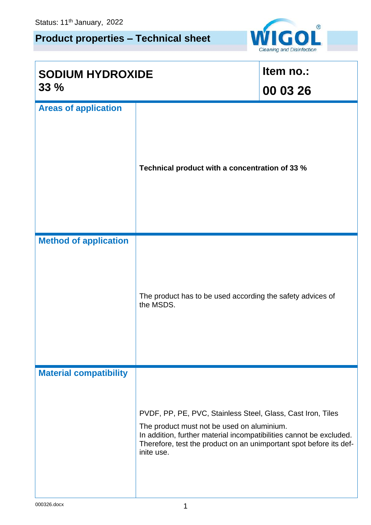## **Product properties – Technical sheet**



| <b>SODIUM HYDROXIDE</b><br>33% |                                                                                                                                                                                                                                                                      | Item no.:<br>00 03 26 |
|--------------------------------|----------------------------------------------------------------------------------------------------------------------------------------------------------------------------------------------------------------------------------------------------------------------|-----------------------|
| <b>Areas of application</b>    | Technical product with a concentration of 33 %                                                                                                                                                                                                                       |                       |
| <b>Method of application</b>   | The product has to be used according the safety advices of<br>the MSDS.                                                                                                                                                                                              |                       |
| <b>Material compatibility</b>  | PVDF, PP, PE, PVC, Stainless Steel, Glass, Cast Iron, Tiles<br>The product must not be used on aluminium.<br>In addition, further material incompatibilities cannot be excluded.<br>Therefore, test the product on an unimportant spot before its def-<br>inite use. |                       |